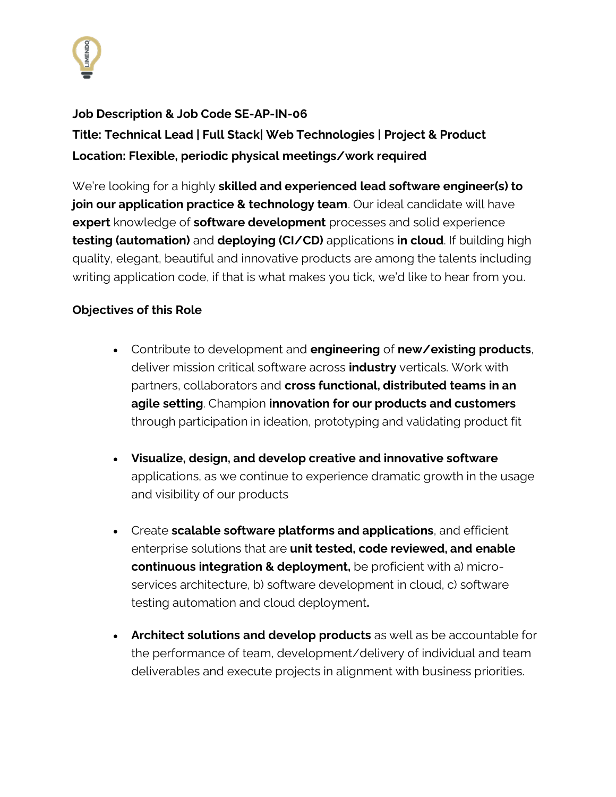

# **Job Description & Job Code SE-AP-IN-06**

**Title: Technical Lead | Full Stack| Web Technologies | Project & Product Location: Flexible, periodic physical meetings/work required**

We're looking for a highly **skilled and experienced lead software engineer(s) to join our application practice & technology team**. Our ideal candidate will have **expert** knowledge of **software development** processes and solid experience **testing (automation)** and **deploying (CI/CD)** applications **in cloud**. If building high quality, elegant, beautiful and innovative products are among the talents including writing application code, if that is what makes you tick, we'd like to hear from you.

### **Objectives of this Role**

- Contribute to development and **engineering** of **new/existing products**, deliver mission critical software across **industry** verticals. Work with partners, collaborators and **cross functional, distributed teams in an agile setting**. Champion **innovation for our products and customers**  through participation in ideation, prototyping and validating product fit
- **Visualize, design, and develop creative and innovative software** applications, as we continue to experience dramatic growth in the usage and visibility of our products
- Create **scalable software platforms and applications**, and efficient enterprise solutions that are **unit tested, code reviewed, and enable continuous integration & deployment,** be proficient with a) microservices architecture, b) software development in cloud, c) software testing automation and cloud deployment**.**
- **Architect solutions and develop products** as well as be accountable for the performance of team, development/delivery of individual and team deliverables and execute projects in alignment with business priorities.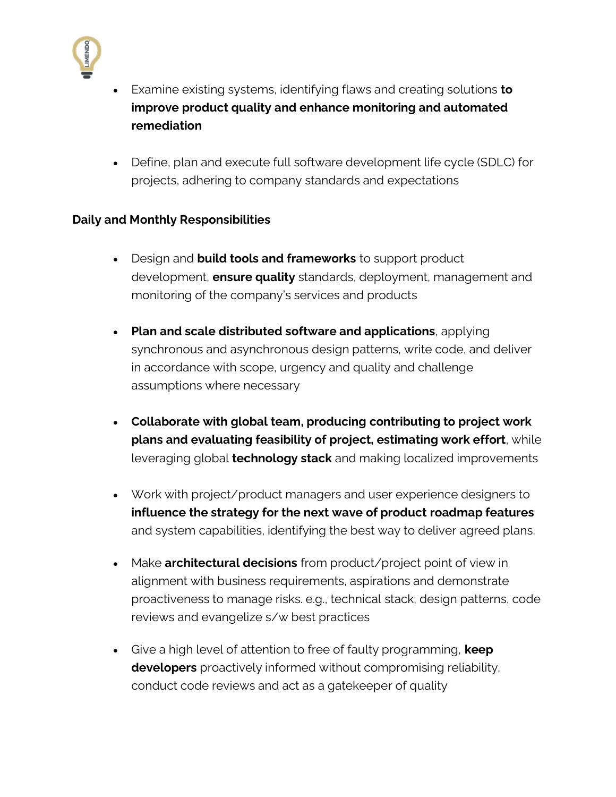

- Examine existing systems, identifying flaws and creating solutions **to improve product quality and enhance monitoring and automated remediation**
- Define, plan and execute full software development life cycle (SDLC) for projects, adhering to company standards and expectations

# **Daily and Monthly Responsibilities**

- Design and **build tools and frameworks** to support product development, **ensure quality** standards, deployment, management and monitoring of the company's services and products
- **Plan and scale distributed software and applications**, applying synchronous and asynchronous design patterns, write code, and deliver in accordance with scope, urgency and quality and challenge assumptions where necessary
- **Collaborate with global team, producing contributing to project work plans and evaluating feasibility of project, estimating work effort**, while leveraging global **technology stack** and making localized improvements
- Work with project/product managers and user experience designers to **influence the strategy for the next wave of product roadmap features** and system capabilities, identifying the best way to deliver agreed plans.
- Make **architectural decisions** from product/project point of view in alignment with business requirements, aspirations and demonstrate proactiveness to manage risks. e.g., technical stack, design patterns, code reviews and evangelize s/w best practices
- Give a high level of attention to free of faulty programming, **keep developers** proactively informed without compromising reliability, conduct code reviews and act as a gatekeeper of quality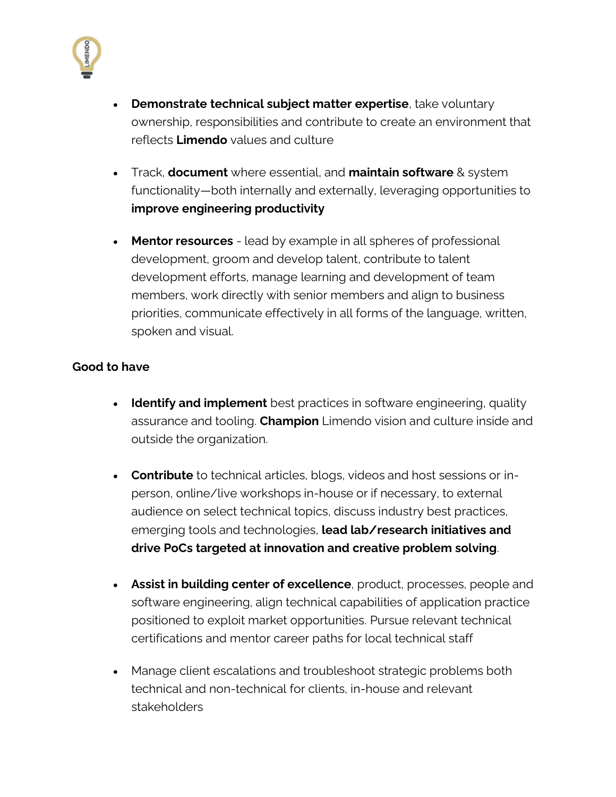

- **Demonstrate technical subject matter expertise**, take voluntary ownership, responsibilities and contribute to create an environment that reflects **Limendo** values and culture
- Track, **document** where essential, and **maintain software** & system functionality—both internally and externally, leveraging opportunities to **improve engineering productivity**
- **Mentor resources** lead by example in all spheres of professional development, groom and develop talent, contribute to talent development efforts, manage learning and development of team members, work directly with senior members and align to business priorities, communicate effectively in all forms of the language, written, spoken and visual.

#### **Good to have**

- **Identify and implement** best practices in software engineering, quality assurance and tooling. **Champion** Limendo vision and culture inside and outside the organization.
- **Contribute** to technical articles, blogs, videos and host sessions or inperson, online/live workshops in-house or if necessary, to external audience on select technical topics, discuss industry best practices, emerging tools and technologies, **lead lab/research initiatives and drive PoCs targeted at innovation and creative problem solving**.
- **Assist in building center of excellence**, product, processes, people and software engineering, align technical capabilities of application practice positioned to exploit market opportunities. Pursue relevant technical certifications and mentor career paths for local technical staff
- Manage client escalations and troubleshoot strategic problems both technical and non-technical for clients, in-house and relevant stakeholders